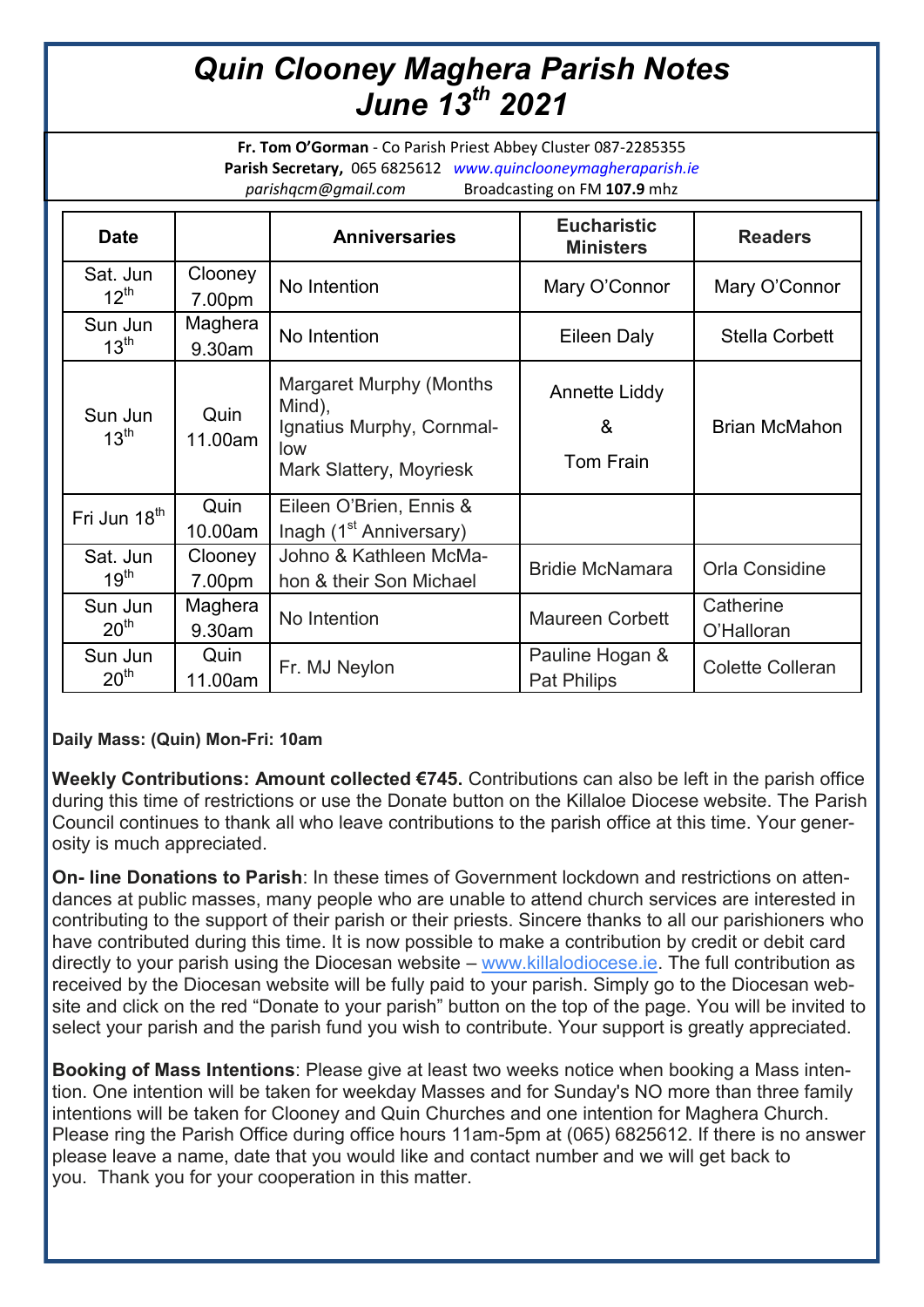## *Quin Clooney Maghera Parish Notes June 13th 2021*

**Fr. Tom O'Gorman** - Co Parish Priest Abbey Cluster 087-2285355 **Parish Secretary,** 065 6825612 *www.quinclooneymagheraparish.ie parishqcm@gmail.com* Broadcasting on FM **107.9** mhz

| <b>Date</b>                  |                   | <b>Anniversaries</b>                                                                             | <b>Eucharistic</b><br><b>Ministers</b> | <b>Readers</b>          |
|------------------------------|-------------------|--------------------------------------------------------------------------------------------------|----------------------------------------|-------------------------|
| Sat. Jun<br>$12^{\text{th}}$ | Clooney<br>7.00pm | No Intention                                                                                     | Mary O'Connor                          | Mary O'Connor           |
| Sun Jun<br>$13^{\text{th}}$  | Maghera<br>9.30am | No Intention                                                                                     | Eileen Daly                            | <b>Stella Corbett</b>   |
| Sun Jun<br>$13^{\text{th}}$  | Quin<br>11.00am   | Margaret Murphy (Months<br>Mind),<br>Ignatius Murphy, Cornmal-<br>low<br>Mark Slattery, Moyriesk | Annette Liddy<br>&<br>Tom Frain        | <b>Brian McMahon</b>    |
| Fri Jun 18 <sup>th</sup>     | Quin<br>10.00am   | Eileen O'Brien, Ennis &<br>Inagh (1 <sup>st</sup> Anniversary)                                   |                                        |                         |
| Sat. Jun<br>$19^{\text{th}}$ | Clooney<br>7.00pm | Johno & Kathleen McMa-<br>hon & their Son Michael                                                | <b>Bridie McNamara</b>                 | Orla Considine          |
| Sun Jun<br>20 <sup>th</sup>  | Maghera<br>9.30am | No Intention                                                                                     | <b>Maureen Corbett</b>                 | Catherine<br>O'Halloran |
| Sun Jun<br>20 <sup>th</sup>  | Quin<br>11.00am   | Fr. MJ Neylon                                                                                    | Pauline Hogan &<br><b>Pat Philips</b>  | <b>Colette Colleran</b> |

## **Daily Mass: (Quin) Mon-Fri: 10am**

**Weekly Contributions: Amount collected €745.** Contributions can also be left in the parish office during this time of restrictions or use the Donate button on the Killaloe Diocese website. The Parish Council continues to thank all who leave contributions to the parish office at this time. Your generosity is much appreciated.

**On- line Donations to Parish**: In these times of Government lockdown and restrictions on attendances at public masses, many people who are unable to attend church services are interested in contributing to the support of their parish or their priests. Sincere thanks to all our parishioners who have contributed during this time. It is now possible to make a contribution by credit or debit card directly to your parish using the Diocesan website – [www.killalodiocese.ie.](http://www.killalodiocese.ie/) The full contribution as received by the Diocesan website will be fully paid to your parish. Simply go to the Diocesan website and click on the red "Donate to your parish" button on the top of the page. You will be invited to select your parish and the parish fund you wish to contribute. Your support is greatly appreciated.

**Booking of Mass Intentions**: Please give at least two weeks notice when booking a Mass intention. One intention will be taken for weekday Masses and for Sunday's NO more than three family intentions will be taken for Clooney and Quin Churches and one intention for Maghera Church. Please ring the Parish Office during office hours 11am-5pm at (065) 6825612. If there is no answer please leave a name, date that you would like and contact number and we will get back to you. Thank you for your cooperation in this matter.